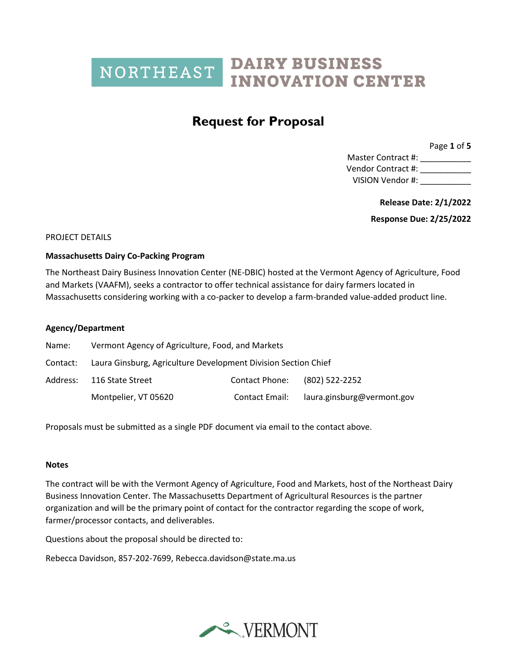### **Request for Proposal**

Page **1** of **5**

Master Contract #: \_\_\_\_\_\_\_\_\_\_\_\_\_\_ Vendor Contract #: \_\_\_\_\_\_\_\_\_\_\_ VISION Vendor #:

**Release Date: 2/1/2022**

**Response Due: 2/25/2022**

#### PROJECT DETAILS

#### **Massachusetts Dairy Co-Packing Program**

The Northeast Dairy Business Innovation Center (NE-DBIC) hosted at the Vermont Agency of Agriculture, Food and Markets (VAAFM), seeks a contractor to offer technical assistance for dairy farmers located in Massachusetts considering working with a co-packer to develop a farm-branded value-added product line.

#### **Agency/Department**

| Name:    | Vermont Agency of Agriculture, Food, and Markets               |                |                            |
|----------|----------------------------------------------------------------|----------------|----------------------------|
| Contact: | Laura Ginsburg, Agriculture Development Division Section Chief |                |                            |
|          | Address: 116 State Street                                      | Contact Phone: | (802) 522-2252             |
|          | Montpelier, VT 05620                                           | Contact Email: | laura.ginsburg@vermont.gov |

Proposals must be submitted as a single PDF document via email to the contact above.

#### **Notes**

The contract will be with the Vermont Agency of Agriculture, Food and Markets, host of the Northeast Dairy Business Innovation Center. The Massachusetts Department of Agricultural Resources is the partner organization and will be the primary point of contact for the contractor regarding the scope of work, farmer/processor contacts, and deliverables.

Questions about the proposal should be directed to:

Rebecca Davidson, 857-202-7699, Rebecca.davidson@state.ma.us

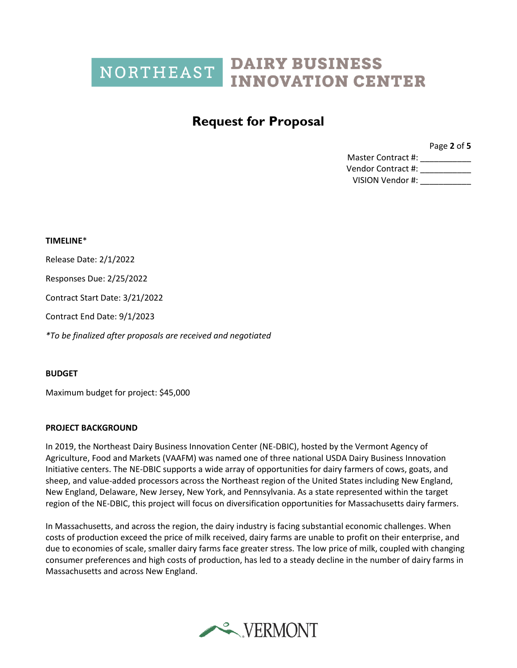### **Request for Proposal**

Page **2** of **5**

Master Contract #: \_\_\_\_\_\_\_\_\_\_\_\_\_ Vendor Contract #: \_\_\_\_\_\_\_\_\_\_\_ VISION Vendor #:

**TIMELINE**\* Release Date: 2/1/2022 Responses Due: 2/25/2022 Contract Start Date: 3/21/2022 Contract End Date: 9/1/2023 *\*To be finalized after proposals are received and negotiated*

### **BUDGET**

Maximum budget for project: \$45,000

### **PROJECT BACKGROUND**

In 2019, the Northeast Dairy Business Innovation Center (NE-DBIC), hosted by the Vermont Agency of Agriculture, Food and Markets (VAAFM) was named one of three national USDA Dairy Business Innovation Initiative centers. The NE-DBIC supports a wide array of opportunities for dairy farmers of cows, goats, and sheep, and value-added processors across the Northeast region of the United States including New England, New England, Delaware, New Jersey, New York, and Pennsylvania. As a state represented within the target region of the NE-DBIC, this project will focus on diversification opportunities for Massachusetts dairy farmers.

In Massachusetts, and across the region, the dairy industry is facing substantial economic challenges. When costs of production exceed the price of milk received, dairy farms are unable to profit on their enterprise, and due to economies of scale, smaller dairy farms face greater stress. The low price of milk, coupled with changing consumer preferences and high costs of production, has led to a steady decline in the number of dairy farms in Massachusetts and across New England.

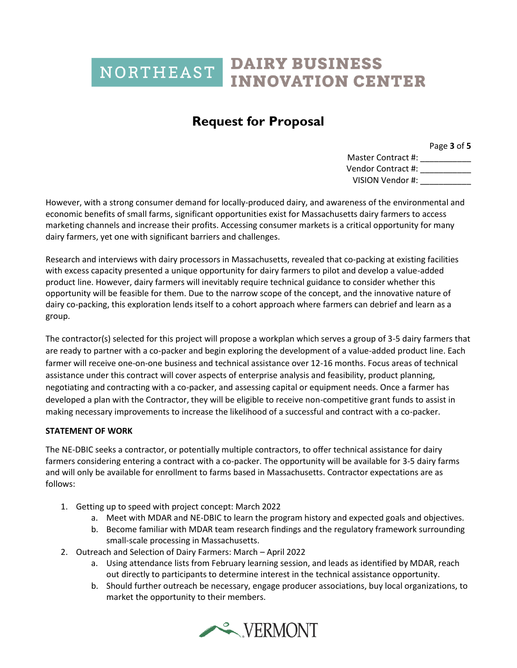## **Request for Proposal**

Page **3** of **5**

Master Contract #: \_\_\_\_\_\_\_\_\_\_ Vendor Contract #: \_\_\_\_\_\_\_\_\_\_\_ VISION Vendor #:

However, with a strong consumer demand for locally-produced dairy, and awareness of the environmental and economic benefits of small farms, significant opportunities exist for Massachusetts dairy farmers to access marketing channels and increase their profits. Accessing consumer markets is a critical opportunity for many dairy farmers, yet one with significant barriers and challenges.

Research and interviews with dairy processors in Massachusetts, revealed that co-packing at existing facilities with excess capacity presented a unique opportunity for dairy farmers to pilot and develop a value-added product line. However, dairy farmers will inevitably require technical guidance to consider whether this opportunity will be feasible for them. Due to the narrow scope of the concept, and the innovative nature of dairy co-packing, this exploration lends itself to a cohort approach where farmers can debrief and learn as a group.

The contractor(s) selected for this project will propose a workplan which serves a group of 3-5 dairy farmers that are ready to partner with a co-packer and begin exploring the development of a value-added product line. Each farmer will receive one-on-one business and technical assistance over 12-16 months. Focus areas of technical assistance under this contract will cover aspects of enterprise analysis and feasibility, product planning, negotiating and contracting with a co-packer, and assessing capital or equipment needs. Once a farmer has developed a plan with the Contractor, they will be eligible to receive non-competitive grant funds to assist in making necessary improvements to increase the likelihood of a successful and contract with a co-packer.

### **STATEMENT OF WORK**

The NE-DBIC seeks a contractor, or potentially multiple contractors, to offer technical assistance for dairy farmers considering entering a contract with a co-packer. The opportunity will be available for 3-5 dairy farms and will only be available for enrollment to farms based in Massachusetts. Contractor expectations are as follows:

- 1. Getting up to speed with project concept: March 2022
	- a. Meet with MDAR and NE-DBIC to learn the program history and expected goals and objectives.
	- b. Become familiar with MDAR team research findings and the regulatory framework surrounding small-scale processing in Massachusetts.
- 2. Outreach and Selection of Dairy Farmers: March April 2022
	- a. Using attendance lists from February learning session, and leads as identified by MDAR, reach out directly to participants to determine interest in the technical assistance opportunity.
	- b. Should further outreach be necessary, engage producer associations, buy local organizations, to market the opportunity to their members.

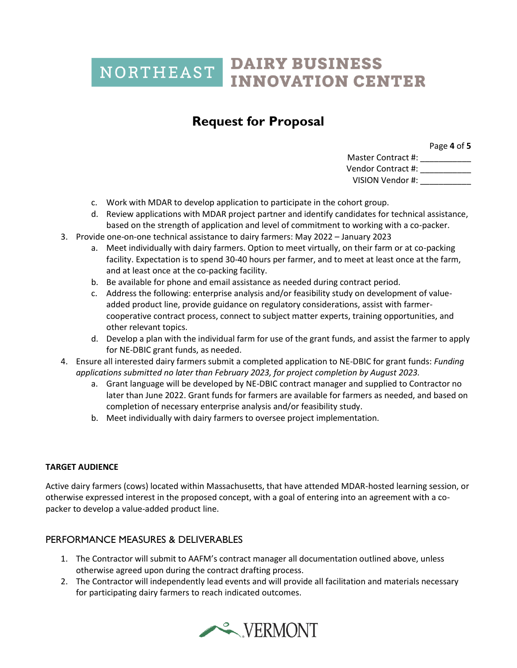## **Request for Proposal**

Page **4** of **5**

Master Contract #: \_\_\_\_\_\_\_\_\_\_\_\_\_ Vendor Contract #: \_\_\_\_\_\_\_\_\_\_\_ VISION Vendor #:

- c. Work with MDAR to develop application to participate in the cohort group.
- d. Review applications with MDAR project partner and identify candidates for technical assistance, based on the strength of application and level of commitment to working with a co-packer.
- 3. Provide one-on-one technical assistance to dairy farmers: May 2022 January 2023
	- a. Meet individually with dairy farmers. Option to meet virtually, on their farm or at co-packing facility. Expectation is to spend 30-40 hours per farmer, and to meet at least once at the farm, and at least once at the co-packing facility.
	- b. Be available for phone and email assistance as needed during contract period.
	- c. Address the following: enterprise analysis and/or feasibility study on development of valueadded product line, provide guidance on regulatory considerations, assist with farmercooperative contract process, connect to subject matter experts, training opportunities, and other relevant topics.
	- d. Develop a plan with the individual farm for use of the grant funds, and assist the farmer to apply for NE-DBIC grant funds, as needed.
- 4. Ensure all interested dairy farmers submit a completed application to NE-DBIC for grant funds: *Funding applications submitted no later than February 2023, for project completion by August 2023.*
	- a. Grant language will be developed by NE-DBIC contract manager and supplied to Contractor no later than June 2022. Grant funds for farmers are available for farmers as needed, and based on completion of necessary enterprise analysis and/or feasibility study.
	- b. Meet individually with dairy farmers to oversee project implementation.

### **TARGET AUDIENCE**

Active dairy farmers (cows) located within Massachusetts, that have attended MDAR-hosted learning session, or otherwise expressed interest in the proposed concept, with a goal of entering into an agreement with a copacker to develop a value-added product line.

### PERFORMANCE MEASURES & DELIVERABLES

- 1. The Contractor will submit to AAFM's contract manager all documentation outlined above, unless otherwise agreed upon during the contract drafting process.
- 2. The Contractor will independently lead events and will provide all facilitation and materials necessary for participating dairy farmers to reach indicated outcomes.